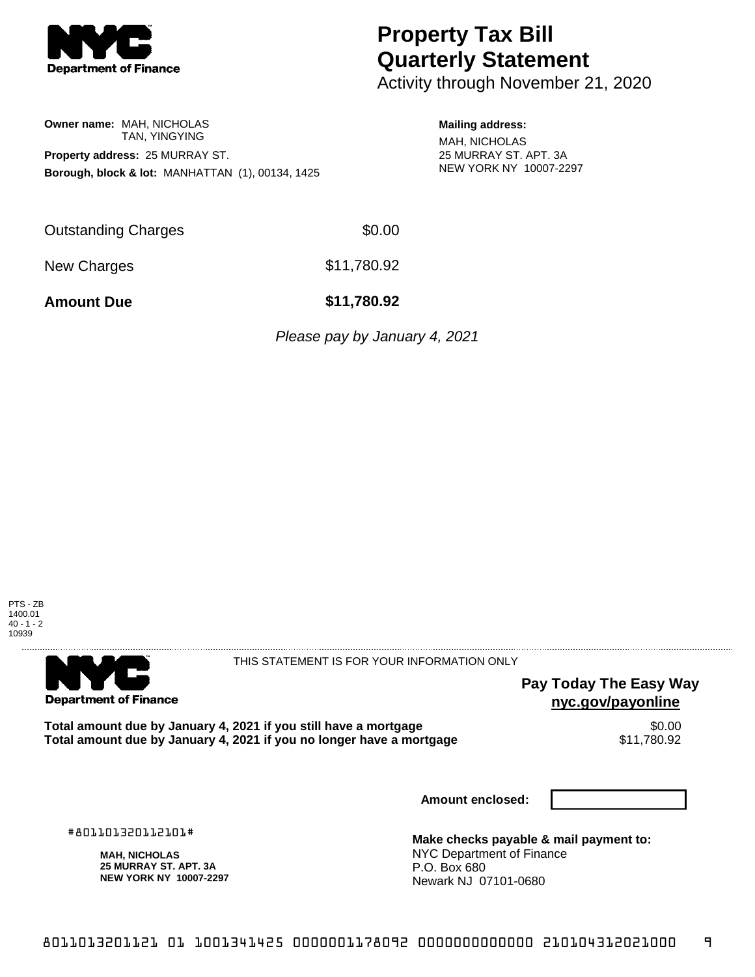

**Owner name:** MAH, NICHOLAS

## **Property Tax Bill Quarterly Statement**

Activity through November 21, 2020

## **Mailing address:**

MAH, NICHOLAS 25 MURRAY ST. APT. 3A NEW YORK NY 10007-2297

TAN, YINGYING **Property address:** 25 MURRAY ST. **Borough, block & lot:** MANHATTAN (1), 00134, 1425

Outstanding Charges \$0.00

New Charges  $$11,780.92$ 

**Amount Due \$11,780.92**

Please pay by January 4, 2021

PTS - ZB 1400.01 40 - 1 - 2 10939



THIS STATEMENT IS FOR YOUR INFORMATION ONLY

**Pay Today The Easy Way nyc.gov/payonline**

Total amount due by January 4, 2021 if you still have a mortgage **\$0.00** \$0.00<br>Total amount due by January 4, 2021 if you no longer have a mortgage \$11,780.92 Total amount due by January 4, 2021 if you no longer have a mortgage

**Amount enclosed:**

#801101320112101#

**MAH, NICHOLAS 25 MURRAY ST. APT. 3A NEW YORK NY 10007-2297**

**Make checks payable & mail payment to:** NYC Department of Finance P.O. Box 680 Newark NJ 07101-0680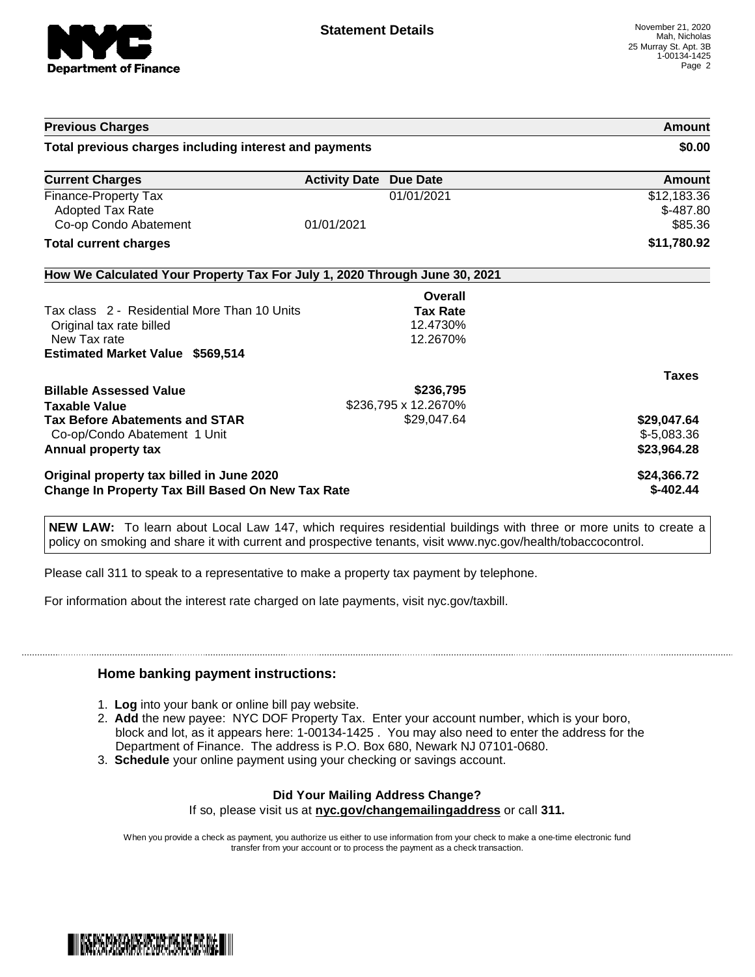

| <b>Previous Charges</b><br>Total previous charges including interest and payments |                                                                            | Amount<br>\$0.00                     |
|-----------------------------------------------------------------------------------|----------------------------------------------------------------------------|--------------------------------------|
|                                                                                   |                                                                            |                                      |
| Finance-Property Tax<br>Adopted Tax Rate<br>Co-op Condo Abatement                 | 01/01/2021<br>01/01/2021                                                   | \$12,183.36<br>$$-487.80$<br>\$85.36 |
| <b>Total current charges</b>                                                      |                                                                            | \$11,780.92                          |
|                                                                                   | How We Calculated Your Property Tax For July 1, 2020 Through June 30, 2021 |                                      |
|                                                                                   | Overall                                                                    |                                      |
| Tax class 2 - Residential More Than 10 Units                                      | <b>Tax Rate</b>                                                            |                                      |
| Original tax rate billed                                                          | 12.4730%                                                                   |                                      |
| New Tax rate                                                                      | 12.2670%                                                                   |                                      |
| <b>Estimated Market Value \$569,514</b>                                           |                                                                            |                                      |
|                                                                                   |                                                                            | <b>Taxes</b>                         |
| <b>Billable Assessed Value</b>                                                    | \$236,795                                                                  |                                      |
| <b>Taxable Value</b>                                                              | \$236,795 x 12.2670%                                                       |                                      |
| <b>Tax Before Abatements and STAR</b>                                             | \$29,047.64                                                                | \$29,047.64                          |
| Co-op/Condo Abatement 1 Unit                                                      |                                                                            | $$-5,083.36$                         |
| Annual property tax                                                               |                                                                            | \$23,964.28                          |
| Original property tax billed in June 2020                                         |                                                                            | \$24,366.72                          |
| <b>Change In Property Tax Bill Based On New Tax Rate</b>                          |                                                                            | $$-402.44$                           |

**NEW LAW:** To learn about Local Law 147, which requires residential buildings with three or more units to create a policy on smoking and share it with current and prospective tenants, visit www.nyc.gov/health/tobaccocontrol.

Please call 311 to speak to a representative to make a property tax payment by telephone.

For information about the interest rate charged on late payments, visit nyc.gov/taxbill.

## **Home banking payment instructions:**

- 1. **Log** into your bank or online bill pay website.
- 2. **Add** the new payee: NYC DOF Property Tax. Enter your account number, which is your boro, block and lot, as it appears here: 1-00134-1425 . You may also need to enter the address for the Department of Finance. The address is P.O. Box 680, Newark NJ 07101-0680.
- 3. **Schedule** your online payment using your checking or savings account.

## **Did Your Mailing Address Change?**

If so, please visit us at **nyc.gov/changemailingaddress** or call **311.**

When you provide a check as payment, you authorize us either to use information from your check to make a one-time electronic fund transfer from your account or to process the payment as a check transaction.